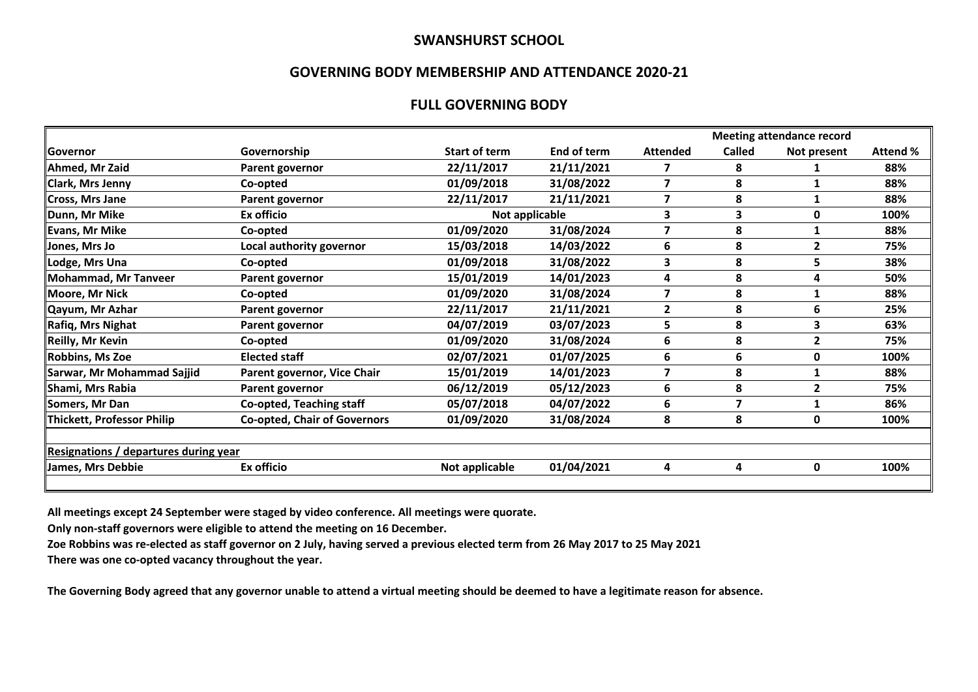#### **SWANSHURST SCHOOL**

#### **GOVERNING BODY MEMBERSHIP AND ATTENDANCE 2020-21**

### **FULL GOVERNING BODY**

|                                       |                |             |                         | <b>Meeting attendance record</b> |             |          |  |  |  |
|---------------------------------------|----------------|-------------|-------------------------|----------------------------------|-------------|----------|--|--|--|
| Governorship                          | Start of term  | End of term | <b>Attended</b>         | <b>Called</b>                    | Not present | Attend % |  |  |  |
| Parent governor                       | 22/11/2017     | 21/11/2021  | 7                       | 8                                |             | 88%      |  |  |  |
| Co-opted                              | 01/09/2018     | 31/08/2022  | 7                       | 8                                |             | 88%      |  |  |  |
| Parent governor                       | 22/11/2017     | 21/11/2021  | 7                       | 8                                |             | 88%      |  |  |  |
| Ex officio                            |                |             | 3                       | 3                                | 0           | 100%     |  |  |  |
| Co-opted                              | 01/09/2020     | 31/08/2024  | $\overline{\mathbf{z}}$ | 8                                |             | 88%      |  |  |  |
| Local authority governor              | 15/03/2018     | 14/03/2022  | 6                       | 8                                | 2           | 75%      |  |  |  |
| Co-opted                              | 01/09/2018     | 31/08/2022  | 3                       | 8                                | 5           | 38%      |  |  |  |
| Parent governor                       | 15/01/2019     | 14/01/2023  | 4                       | 8                                | 4           | 50%      |  |  |  |
| Co-opted                              | 01/09/2020     | 31/08/2024  | 7                       | 8                                |             | 88%      |  |  |  |
| Parent governor                       | 22/11/2017     | 21/11/2021  | $\mathbf{2}$            | 8                                | 6           | 25%      |  |  |  |
| Parent governor                       | 04/07/2019     | 03/07/2023  | 5                       | 8                                | 3           | 63%      |  |  |  |
| Co-opted                              | 01/09/2020     | 31/08/2024  | 6                       | 8                                | 2           | 75%      |  |  |  |
| <b>Elected staff</b>                  | 02/07/2021     | 01/07/2025  | 6                       | 6                                | 0           | 100%     |  |  |  |
| Parent governor, Vice Chair           | 15/01/2019     | 14/01/2023  | $\overline{\mathbf{z}}$ | 8                                |             | 88%      |  |  |  |
| Parent governor                       | 06/12/2019     | 05/12/2023  | 6                       | 8                                | 2           | 75%      |  |  |  |
| Co-opted, Teaching staff              | 05/07/2018     | 04/07/2022  | 6                       | 7                                |             | 86%      |  |  |  |
| <b>Co-opted, Chair of Governors</b>   | 01/09/2020     | 31/08/2024  | 8                       | 8                                | 0           | 100%     |  |  |  |
| Resignations / departures during year |                |             |                         |                                  |             |          |  |  |  |
| Ex officio                            | Not applicable | 01/04/2021  | 4                       | 4                                | 0           | 100%     |  |  |  |
|                                       |                |             | Not applicable          |                                  |             |          |  |  |  |

**All meetings except 24 September were staged by video conference. All meetings were quorate.**

**Only non-staff governors were eligible to attend the meeting on 16 December.**

**Zoe Robbins was re-elected as staff governor on 2 July, having served a previous elected term from 26 May 2017 to 25 May 2021**

**There was one co-opted vacancy throughout the year.**

**The Governing Body agreed that any governor unable to attend a virtual meeting should be deemed to have a legitimate reason for absence.**